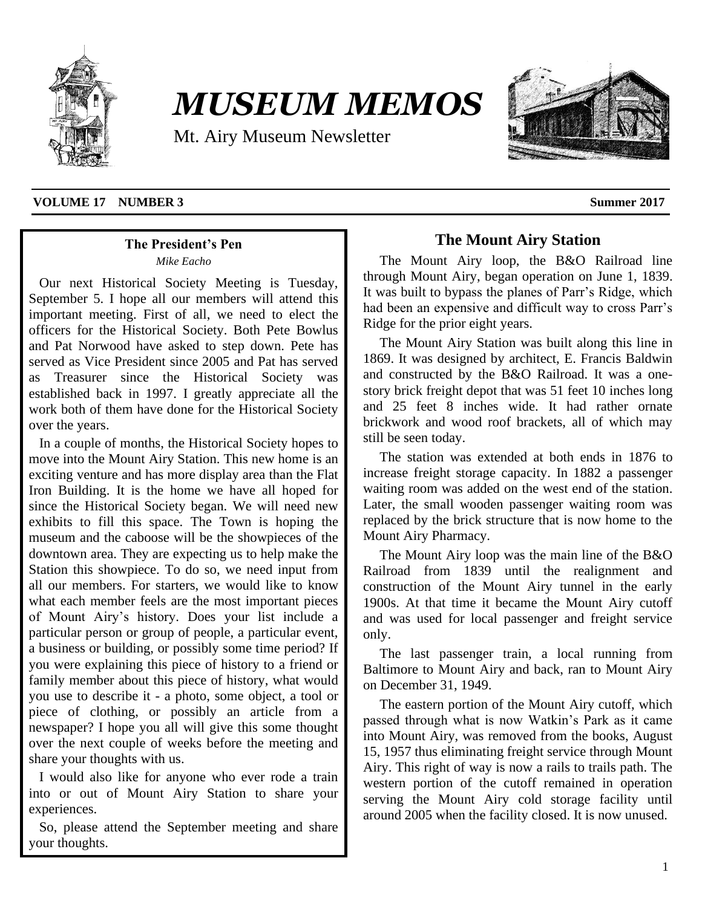

# *MUSEUM MEMOS*

Mt. Airy Museum Newsletter



### **VOLUME 17 NUMBER 3 Summer 2017**

# **The President's Pen**

*Mike Eacho*

Our next Historical Society Meeting is Tuesday, September 5. I hope all our members will attend this important meeting. First of all, we need to elect the officers for the Historical Society. Both Pete Bowlus and Pat Norwood have asked to step down. Pete has served as Vice President since 2005 and Pat has served as Treasurer since the Historical Society was established back in 1997. I greatly appreciate all the work both of them have done for the Historical Society over the years.

In a couple of months, the Historical Society hopes to move into the Mount Airy Station. This new home is an exciting venture and has more display area than the Flat Iron Building. It is the home we have all hoped for since the Historical Society began. We will need new exhibits to fill this space. The Town is hoping the museum and the caboose will be the showpieces of the downtown area. They are expecting us to help make the Station this showpiece. To do so, we need input from all our members. For starters, we would like to know what each member feels are the most important pieces of Mount Airy's history. Does your list include a particular person or group of people, a particular event, a business or building, or possibly some time period? If you were explaining this piece of history to a friend or family member about this piece of history, what would you use to describe it - a photo, some object, a tool or piece of clothing, or possibly an article from a newspaper? I hope you all will give this some thought over the next couple of weeks before the meeting and share your thoughts with us.

I would also like for anyone who ever rode a train into or out of Mount Airy Station to share your experiences.

So, please attend the September meeting and share your thoughts.

# **The Mount Airy Station**

The Mount Airy loop, the B&O Railroad line through Mount Airy, began operation on June 1, 1839. It was built to bypass the planes of Parr's Ridge, which had been an expensive and difficult way to cross Parr's Ridge for the prior eight years.

The Mount Airy Station was built along this line in 1869. It was designed by architect, E. Francis Baldwin and constructed by the B&O Railroad. It was a onestory brick freight depot that was 51 feet 10 inches long and 25 feet 8 inches wide. It had rather ornate brickwork and wood roof brackets, all of which may still be seen today.

The station was extended at both ends in 1876 to increase freight storage capacity. In 1882 a passenger waiting room was added on the west end of the station. Later, the small wooden passenger waiting room was replaced by the brick structure that is now home to the Mount Airy Pharmacy.

The Mount Airy loop was the main line of the B&O Railroad from 1839 until the realignment and construction of the Mount Airy tunnel in the early 1900s. At that time it became the Mount Airy cutoff and was used for local passenger and freight service only.

The last passenger train, a local running from Baltimore to Mount Airy and back, ran to Mount Airy on December 31, 1949.

The eastern portion of the Mount Airy cutoff, which passed through what is now Watkin's Park as it came into Mount Airy, was removed from the books, August 15, 1957 thus eliminating freight service through Mount Airy. This right of way is now a rails to trails path. The western portion of the cutoff remained in operation serving the Mount Airy cold storage facility until around 2005 when the facility closed. It is now unused.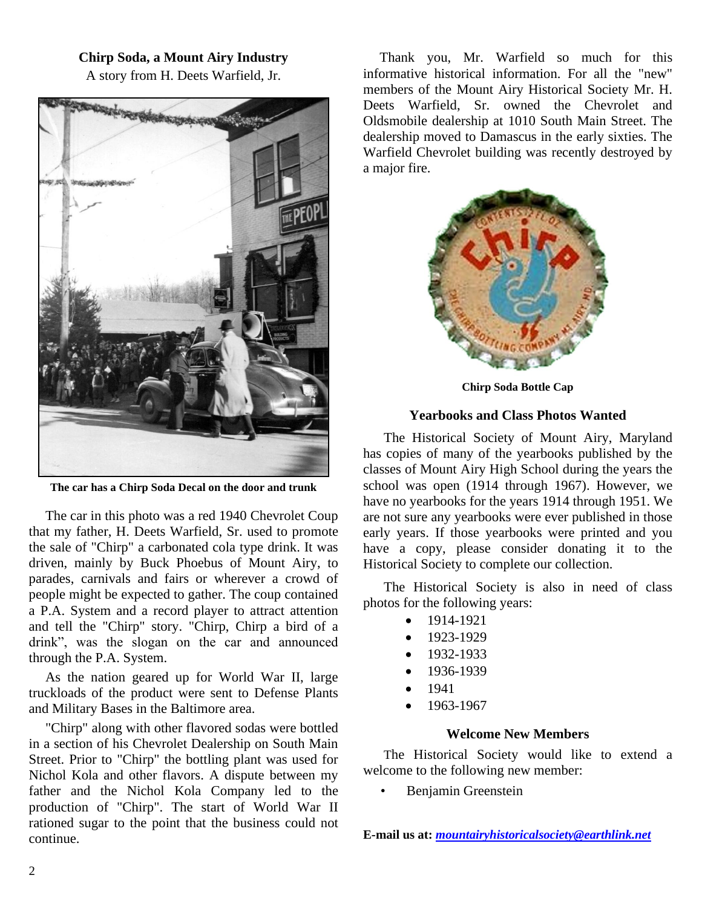# **Chirp Soda, a Mount Airy Industry**

A story from H. Deets Warfield, Jr.



**The car has a Chirp Soda Decal on the door and trunk**

The car in this photo was a red 1940 Chevrolet Coup that my father, H. Deets Warfield, Sr. used to promote the sale of "Chirp" a carbonated cola type drink. It was driven, mainly by Buck Phoebus of Mount Airy, to parades, carnivals and fairs or wherever a crowd of people might be expected to gather. The coup contained a P.A. System and a record player to attract attention and tell the "Chirp" story. "Chirp, Chirp a bird of a drink", was the slogan on the car and announced through the P.A. System.

As the nation geared up for World War II, large truckloads of the product were sent to Defense Plants and Military Bases in the Baltimore area.

"Chirp" along with other flavored sodas were bottled in a section of his Chevrolet Dealership on South Main Street. Prior to "Chirp" the bottling plant was used for Nichol Kola and other flavors. A dispute between my father and the Nichol Kola Company led to the production of "Chirp". The start of World War II rationed sugar to the point that the business could not continue.

Thank you, Mr. Warfield so much for this informative historical information. For all the "new" members of the Mount Airy Historical Society Mr. H. Deets Warfield, Sr. owned the Chevrolet and Oldsmobile dealership at 1010 South Main Street. The dealership moved to Damascus in the early sixties. The Warfield Chevrolet building was recently destroyed by a major fire.



**Chirp Soda Bottle Cap**

### **Yearbooks and Class Photos Wanted**

The Historical Society of Mount Airy, Maryland has copies of many of the yearbooks published by the classes of Mount Airy High School during the years the school was open (1914 through 1967). However, we have no yearbooks for the years 1914 through 1951. We are not sure any yearbooks were ever published in those early years. If those yearbooks were printed and you have a copy, please consider donating it to the Historical Society to complete our collection.

The Historical Society is also in need of class photos for the following years:

- $1914-1921$
- $1923-1929$
- 1932-1933
- 1936-1939
- 1941
- $1963 1967$

### **Welcome New Members**

The Historical Society would like to extend a welcome to the following new member:

• Benjamin Greenstein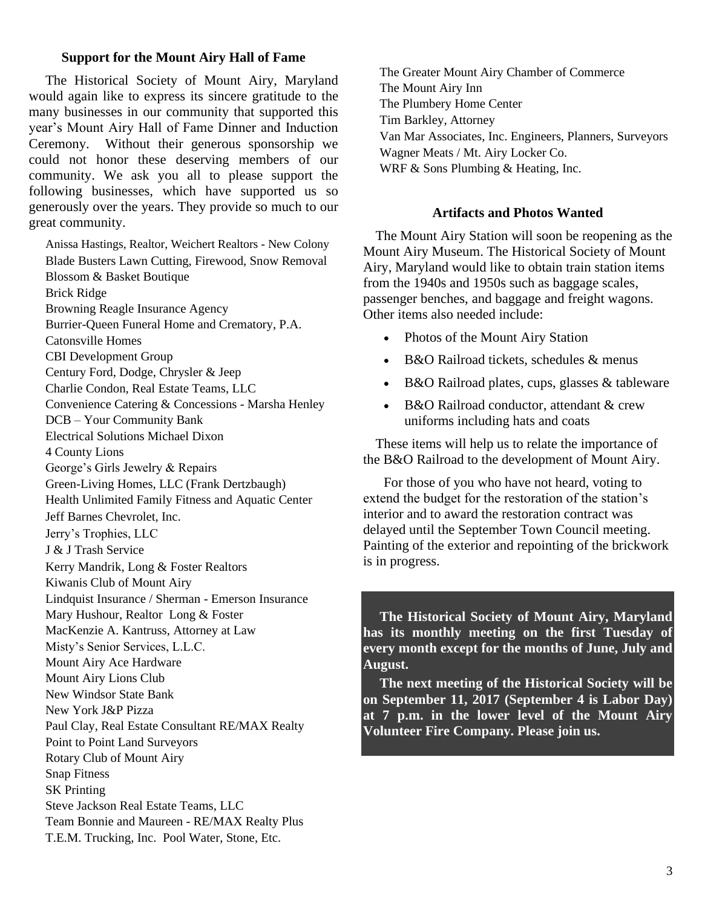### **Support for the Mount Airy Hall of Fame**

The Historical Society of Mount Airy, Maryland would again like to express its sincere gratitude to the many businesses in our community that supported this year's Mount Airy Hall of Fame Dinner and Induction Ceremony. Without their generous sponsorship we could not honor these deserving members of our community. We ask you all to please support the following businesses, which have supported us so generously over the years. They provide so much to our great community.

Anissa Hastings, Realtor, Weichert Realtors - New Colony Blade Busters Lawn Cutting, Firewood, Snow Removal Blossom & Basket Boutique Brick Ridge Browning Reagle Insurance Agency Burrier-Queen Funeral Home and Crematory, P.A. Catonsville Homes CBI Development Group Century Ford, Dodge, Chrysler & Jeep Charlie Condon, Real Estate Teams, LLC Convenience Catering & Concessions - Marsha Henley DCB – Your Community Bank Electrical Solutions Michael Dixon 4 County Lions George's Girls Jewelry & Repairs Green-Living Homes, LLC (Frank Dertzbaugh) Health Unlimited Family Fitness and Aquatic Center Jeff Barnes Chevrolet, Inc. Jerry's Trophies, LLC J & J Trash Service Kerry Mandrik, Long & Foster Realtors Kiwanis Club of Mount Airy Lindquist Insurance / Sherman - Emerson Insurance Mary Hushour, Realtor Long & Foster MacKenzie A. Kantruss, Attorney at Law Misty's Senior Services, L.L.C. Mount Airy Ace Hardware Mount Airy Lions Club New Windsor State Bank New York J&P Pizza Paul Clay, Real Estate Consultant RE/MAX Realty Point to Point Land Surveyors Rotary Club of Mount Airy Snap Fitness SK Printing Steve Jackson Real Estate Teams, LLC Team Bonnie and Maureen - RE/MAX Realty Plus T.E.M. Trucking, Inc. Pool Water, Stone, Etc.

The Greater Mount Airy Chamber of Commerce The Mount Airy Inn The Plumbery Home Center Tim Barkley, Attorney Van Mar Associates, Inc. Engineers, Planners, Surveyors Wagner Meats / Mt. Airy Locker Co. WRF & Sons Plumbing & Heating, Inc.

### **Artifacts and Photos Wanted**

The Mount Airy Station will soon be reopening as the Mount Airy Museum. The Historical Society of Mount Airy, Maryland would like to obtain train station items from the 1940s and 1950s such as baggage scales, passenger benches, and baggage and freight wagons. Other items also needed include:

- Photos of the Mount Airy Station
- B&O Railroad tickets, schedules & menus
- B&O Railroad plates, cups, glasses & tableware
- B&O Railroad conductor, attendant & crew uniforms including hats and coats

These items will help us to relate the importance of the B&O Railroad to the development of Mount Airy.

For those of you who have not heard, voting to extend the budget for the restoration of the station's interior and to award the restoration contract was delayed until the September Town Council meeting. Painting of the exterior and repointing of the brickwork is in progress.

**The Historical Society of Mount Airy, Maryland has its monthly meeting on the first Tuesday of every month except for the months of June, July and August.**

**The next meeting of the Historical Society will be on September 11, 2017 (September 4 is Labor Day) at 7 p.m. in the lower level of the Mount Airy Volunteer Fire Company. Please join us.**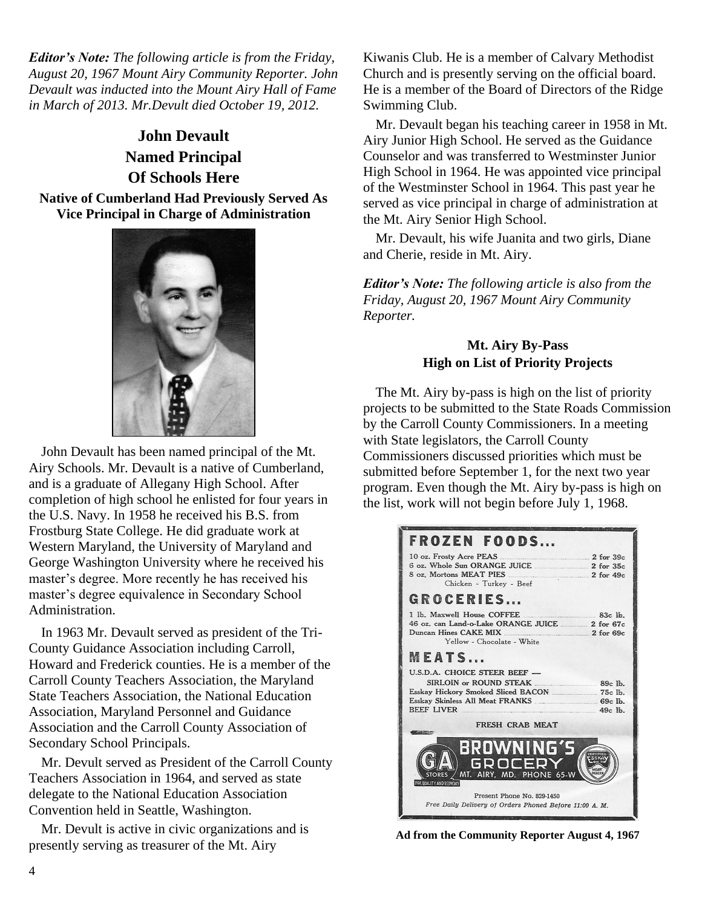*Editor's Note: The following article is from the Friday, August 20, 1967 Mount Airy Community Reporter. John Devault was inducted into the Mount Airy Hall of Fame in March of 2013. Mr.Devult died October 19, 2012.*

# **John Devault Named Principal Of Schools Here**

### **Native of Cumberland Had Previously Served As Vice Principal in Charge of Administration**



John Devault has been named principal of the Mt. Airy Schools. Mr. Devault is a native of Cumberland, and is a graduate of Allegany High School. After completion of high school he enlisted for four years in the U.S. Navy. In 1958 he received his B.S. from Frostburg State College. He did graduate work at Western Maryland, the University of Maryland and George Washington University where he received his master's degree. More recently he has received his master's degree equivalence in Secondary School Administration.

In 1963 Mr. Devault served as president of the Tri-County Guidance Association including Carroll, Howard and Frederick counties. He is a member of the Carroll County Teachers Association, the Maryland State Teachers Association, the National Education Association, Maryland Personnel and Guidance Association and the Carroll County Association of Secondary School Principals.

Mr. Devult served as President of the Carroll County Teachers Association in 1964, and served as state delegate to the National Education Association Convention held in Seattle, Washington.

Mr. Devult is active in civic organizations and is presently serving as treasurer of the Mt. Airy

Kiwanis Club. He is a member of Calvary Methodist Church and is presently serving on the official board. He is a member of the Board of Directors of the Ridge Swimming Club.

Mr. Devault began his teaching career in 1958 in Mt. Airy Junior High School. He served as the Guidance Counselor and was transferred to Westminster Junior High School in 1964. He was appointed vice principal of the Westminster School in 1964. This past year he served as vice principal in charge of administration at the Mt. Airy Senior High School.

Mr. Devault, his wife Juanita and two girls, Diane and Cherie, reside in Mt. Airy.

*Editor's Note: The following article is also from the Friday, August 20, 1967 Mount Airy Community Reporter.* 

# **Mt. Airy By-Pass High on List of Priority Projects**

The Mt. Airy by-pass is high on the list of priority projects to be submitted to the State Roads Commission by the Carroll County Commissioners. In a meeting with State legislators, the Carroll County Commissioners discussed priorities which must be submitted before September 1, for the next two year program. Even though the Mt. Airy by-pass is high on the list, work will not begin before July 1, 1968.



**Ad from the Community Reporter August 4, 1967**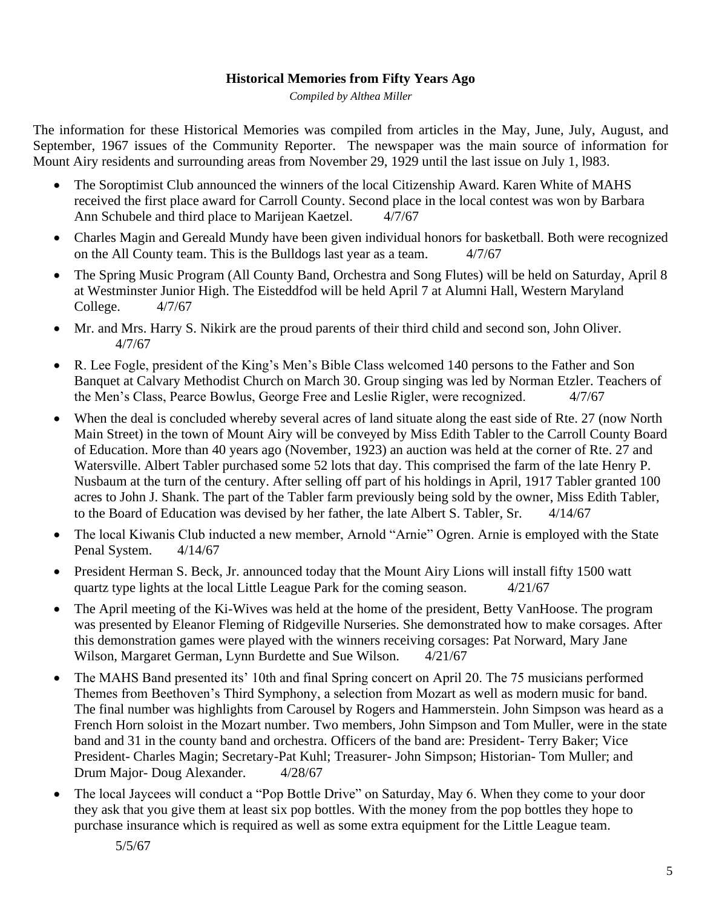# **Historical Memories from Fifty Years Ago**

*Compiled by Althea Miller*

The information for these Historical Memories was compiled from articles in the May, June, July, August, and September, 1967 issues of the Community Reporter. The newspaper was the main source of information for Mount Airy residents and surrounding areas from November 29, 1929 until the last issue on July 1, l983.

- The Soroptimist Club announced the winners of the local Citizenship Award. Karen White of MAHS received the first place award for Carroll County. Second place in the local contest was won by Barbara Ann Schubele and third place to Marijean Kaetzel. 4/7/67
- Charles Magin and Gereald Mundy have been given individual honors for basketball. Both were recognized on the All County team. This is the Bulldogs last year as a team.  $4/7/67$
- The Spring Music Program (All County Band, Orchestra and Song Flutes) will be held on Saturday, April 8 at Westminster Junior High. The Eisteddfod will be held April 7 at Alumni Hall, Western Maryland College. 4/7/67
- Mr. and Mrs. Harry S. Nikirk are the proud parents of their third child and second son, John Oliver. 4/7/67
- R. Lee Fogle, president of the King's Men's Bible Class welcomed 140 persons to the Father and Son Banquet at Calvary Methodist Church on March 30. Group singing was led by Norman Etzler. Teachers of the Men's Class, Pearce Bowlus, George Free and Leslie Rigler, were recognized. 4/7/67
- When the deal is concluded whereby several acres of land situate along the east side of Rte. 27 (now North Main Street) in the town of Mount Airy will be conveyed by Miss Edith Tabler to the Carroll County Board of Education. More than 40 years ago (November, 1923) an auction was held at the corner of Rte. 27 and Watersville. Albert Tabler purchased some 52 lots that day. This comprised the farm of the late Henry P. Nusbaum at the turn of the century. After selling off part of his holdings in April, 1917 Tabler granted 100 acres to John J. Shank. The part of the Tabler farm previously being sold by the owner, Miss Edith Tabler, to the Board of Education was devised by her father, the late Albert S. Tabler, Sr. 4/14/67
- The local Kiwanis Club inducted a new member, Arnold "Arnie" Ogren. Arnie is employed with the State Penal System.  $4/14/67$
- President Herman S. Beck, Jr. announced today that the Mount Airy Lions will install fifty 1500 watt quartz type lights at the local Little League Park for the coming season. 4/21/67
- The April meeting of the Ki-Wives was held at the home of the president, Betty VanHoose. The program was presented by Eleanor Fleming of Ridgeville Nurseries. She demonstrated how to make corsages. After this demonstration games were played with the winners receiving corsages: Pat Norward, Mary Jane Wilson, Margaret German, Lynn Burdette and Sue Wilson. 4/21/67
- The MAHS Band presented its' 10th and final Spring concert on April 20. The 75 musicians performed Themes from Beethoven's Third Symphony, a selection from Mozart as well as modern music for band. The final number was highlights from Carousel by Rogers and Hammerstein. John Simpson was heard as a French Horn soloist in the Mozart number. Two members, John Simpson and Tom Muller, were in the state band and 31 in the county band and orchestra. Officers of the band are: President- Terry Baker; Vice President- Charles Magin; Secretary-Pat Kuhl; Treasurer- John Simpson; Historian- Tom Muller; and Drum Major-Doug Alexander. 4/28/67
- The local Jaycees will conduct a "Pop Bottle Drive" on Saturday, May 6. When they come to your door they ask that you give them at least six pop bottles. With the money from the pop bottles they hope to purchase insurance which is required as well as some extra equipment for the Little League team.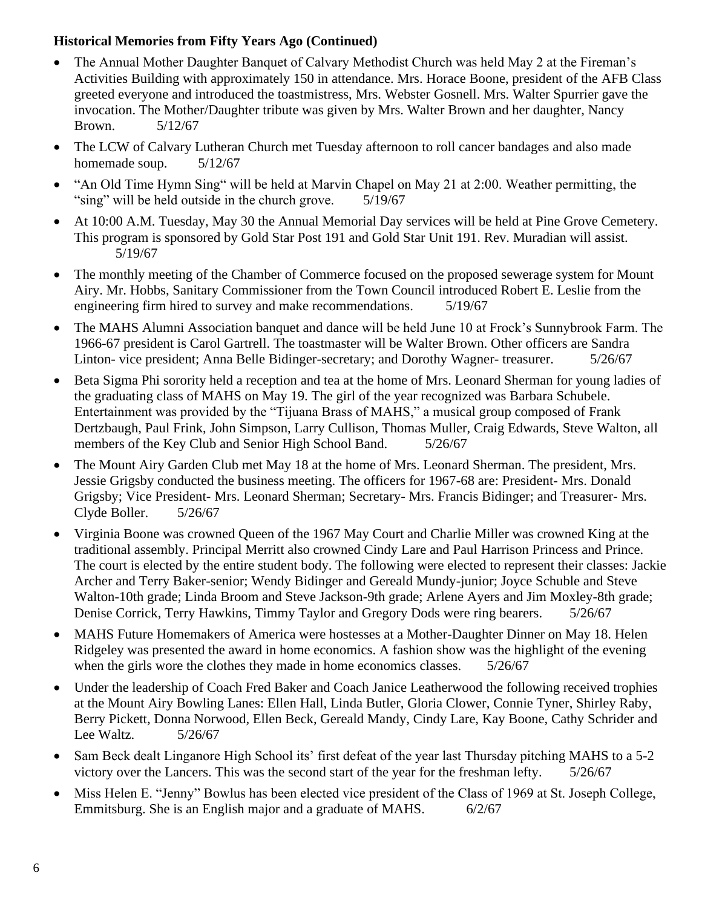- The Annual Mother Daughter Banquet of Calvary Methodist Church was held May 2 at the Fireman's Activities Building with approximately 150 in attendance. Mrs. Horace Boone, president of the AFB Class greeted everyone and introduced the toastmistress, Mrs. Webster Gosnell. Mrs. Walter Spurrier gave the invocation. The Mother/Daughter tribute was given by Mrs. Walter Brown and her daughter, Nancy Brown. 5/12/67
- The LCW of Calvary Lutheran Church met Tuesday afternoon to roll cancer bandages and also made homemade soup. 5/12/67
- "An Old Time Hymn Sing" will be held at Marvin Chapel on May 21 at 2:00. Weather permitting, the "sing" will be held outside in the church grove. 5/19/67
- At 10:00 A.M. Tuesday, May 30 the Annual Memorial Day services will be held at Pine Grove Cemetery. This program is sponsored by Gold Star Post 191 and Gold Star Unit 191. Rev. Muradian will assist. 5/19/67
- The monthly meeting of the Chamber of Commerce focused on the proposed sewerage system for Mount Airy. Mr. Hobbs, Sanitary Commissioner from the Town Council introduced Robert E. Leslie from the engineering firm hired to survey and make recommendations. 5/19/67
- The MAHS Alumni Association banquet and dance will be held June 10 at Frock's Sunnybrook Farm. The 1966-67 president is Carol Gartrell. The toastmaster will be Walter Brown. Other officers are Sandra Linton- vice president; Anna Belle Bidinger-secretary; and Dorothy Wagner- treasurer. 5/26/67
- Beta Sigma Phi sorority held a reception and tea at the home of Mrs. Leonard Sherman for young ladies of the graduating class of MAHS on May 19. The girl of the year recognized was Barbara Schubele. Entertainment was provided by the "Tijuana Brass of MAHS," a musical group composed of Frank Dertzbaugh, Paul Frink, John Simpson, Larry Cullison, Thomas Muller, Craig Edwards, Steve Walton, all members of the Key Club and Senior High School Band. 5/26/67
- The Mount Airy Garden Club met May 18 at the home of Mrs. Leonard Sherman. The president, Mrs. Jessie Grigsby conducted the business meeting. The officers for 1967-68 are: President- Mrs. Donald Grigsby; Vice President- Mrs. Leonard Sherman; Secretary- Mrs. Francis Bidinger; and Treasurer- Mrs. Clyde Boller. 5/26/67
- Virginia Boone was crowned Queen of the 1967 May Court and Charlie Miller was crowned King at the traditional assembly. Principal Merritt also crowned Cindy Lare and Paul Harrison Princess and Prince. The court is elected by the entire student body. The following were elected to represent their classes: Jackie Archer and Terry Baker-senior; Wendy Bidinger and Gereald Mundy-junior; Joyce Schuble and Steve Walton-10th grade; Linda Broom and Steve Jackson-9th grade; Arlene Ayers and Jim Moxley-8th grade; Denise Corrick, Terry Hawkins, Timmy Taylor and Gregory Dods were ring bearers. 5/26/67
- MAHS Future Homemakers of America were hostesses at a Mother-Daughter Dinner on May 18. Helen Ridgeley was presented the award in home economics. A fashion show was the highlight of the evening when the girls wore the clothes they made in home economics classes. 5/26/67
- Under the leadership of Coach Fred Baker and Coach Janice Leatherwood the following received trophies at the Mount Airy Bowling Lanes: Ellen Hall, Linda Butler, Gloria Clower, Connie Tyner, Shirley Raby, Berry Pickett, Donna Norwood, Ellen Beck, Gereald Mandy, Cindy Lare, Kay Boone, Cathy Schrider and Lee Waltz. 5/26/67
- Sam Beck dealt Linganore High School its' first defeat of the year last Thursday pitching MAHS to a 5-2 victory over the Lancers. This was the second start of the year for the freshman lefty. 5/26/67
- Miss Helen E. "Jenny" Bowlus has been elected vice president of the Class of 1969 at St. Joseph College, Emmitsburg. She is an English major and a graduate of MAHS. 6/2/67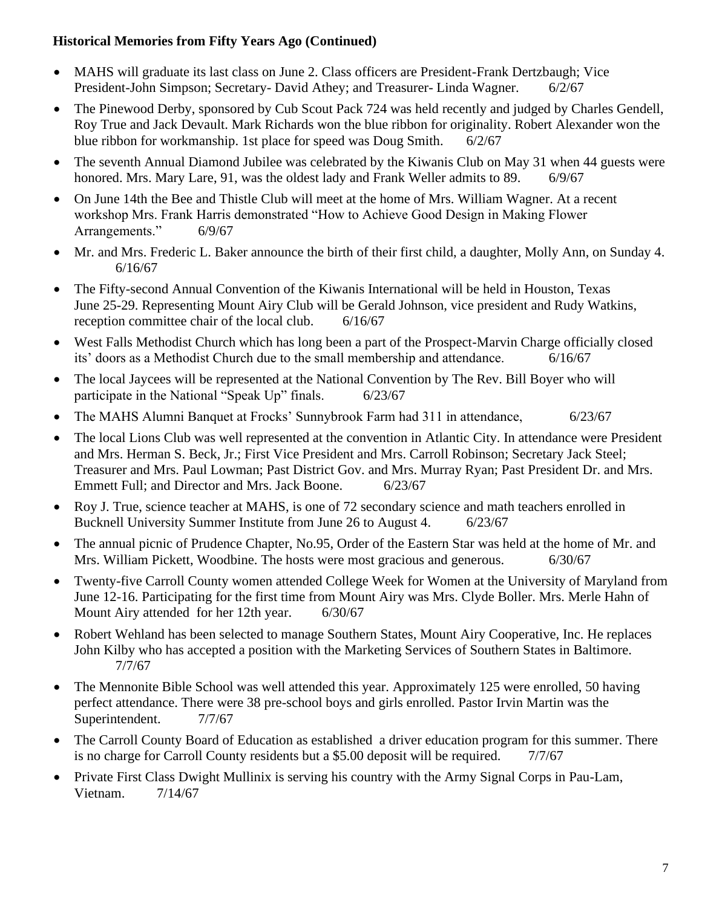- MAHS will graduate its last class on June 2. Class officers are President-Frank Dertzbaugh; Vice President-John Simpson; Secretary- David Athey; and Treasurer- Linda Wagner. 6/2/67
- The Pinewood Derby, sponsored by Cub Scout Pack 724 was held recently and judged by Charles Gendell, Roy True and Jack Devault. Mark Richards won the blue ribbon for originality. Robert Alexander won the blue ribbon for workmanship. 1st place for speed was Doug Smith. 6/2/67
- The seventh Annual Diamond Jubilee was celebrated by the Kiwanis Club on May 31 when 44 guests were honored. Mrs. Mary Lare, 91, was the oldest lady and Frank Weller admits to 89. 6/9/67
- On June 14th the Bee and Thistle Club will meet at the home of Mrs. William Wagner. At a recent workshop Mrs. Frank Harris demonstrated "How to Achieve Good Design in Making Flower Arrangements." 6/9/67
- Mr. and Mrs. Frederic L. Baker announce the birth of their first child, a daughter, Molly Ann, on Sunday 4. 6/16/67
- The Fifty-second Annual Convention of the Kiwanis International will be held in Houston, Texas June 25-29. Representing Mount Airy Club will be Gerald Johnson, vice president and Rudy Watkins, reception committee chair of the local club. 6/16/67
- West Falls Methodist Church which has long been a part of the Prospect-Marvin Charge officially closed its' doors as a Methodist Church due to the small membership and attendance. 6/16/67
- The local Jaycees will be represented at the National Convention by The Rev. Bill Boyer who will participate in the National "Speak Up" finals. 6/23/67
- The MAHS Alumni Banquet at Frocks' Sunnybrook Farm had 311 in attendance, 6/23/67
- The local Lions Club was well represented at the convention in Atlantic City. In attendance were President and Mrs. Herman S. Beck, Jr.; First Vice President and Mrs. Carroll Robinson; Secretary Jack Steel; Treasurer and Mrs. Paul Lowman; Past District Gov. and Mrs. Murray Ryan; Past President Dr. and Mrs. Emmett Full; and Director and Mrs. Jack Boone. 6/23/67
- Roy J. True, science teacher at MAHS, is one of 72 secondary science and math teachers enrolled in Bucknell University Summer Institute from June 26 to August 4. 6/23/67
- The annual picnic of Prudence Chapter, No.95, Order of the Eastern Star was held at the home of Mr. and Mrs. William Pickett, Woodbine. The hosts were most gracious and generous. 6/30/67
- Twenty-five Carroll County women attended College Week for Women at the University of Maryland from June 12-16. Participating for the first time from Mount Airy was Mrs. Clyde Boller. Mrs. Merle Hahn of Mount Airy attended for her 12th year. 6/30/67
- Robert Wehland has been selected to manage Southern States, Mount Airy Cooperative, Inc. He replaces John Kilby who has accepted a position with the Marketing Services of Southern States in Baltimore. 7/7/67
- The Mennonite Bible School was well attended this year. Approximately 125 were enrolled, 50 having perfect attendance. There were 38 pre-school boys and girls enrolled. Pastor Irvin Martin was the Superintendent.  $7/7/67$
- The Carroll County Board of Education as established a driver education program for this summer. There is no charge for Carroll County residents but a \$5.00 deposit will be required. 7/7/67
- Private First Class Dwight Mullinix is serving his country with the Army Signal Corps in Pau-Lam, Vietnam. 7/14/67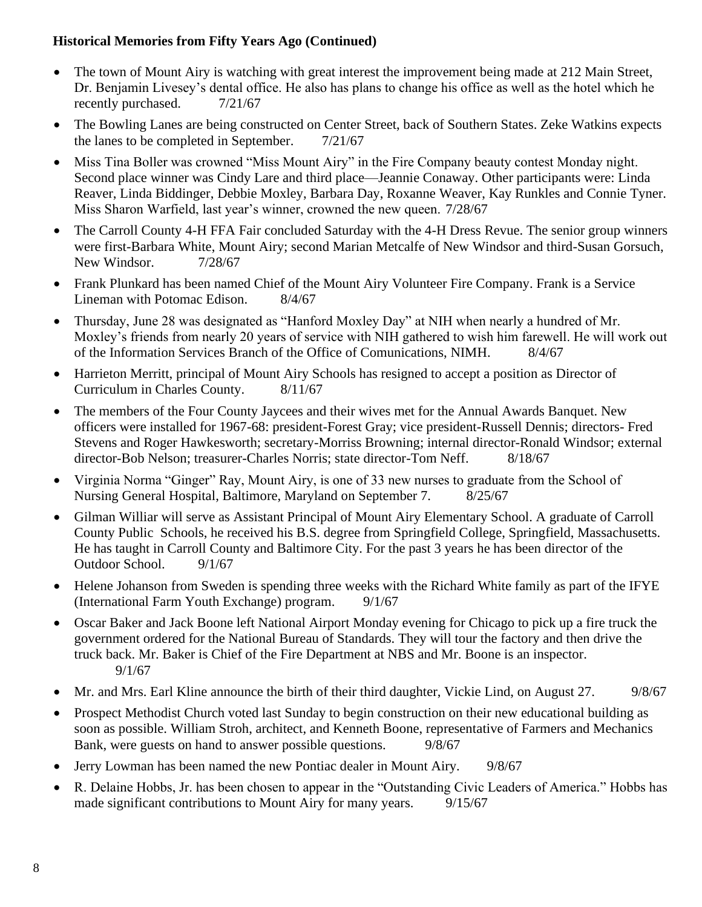- The town of Mount Airy is watching with great interest the improvement being made at 212 Main Street, Dr. Benjamin Livesey's dental office. He also has plans to change his office as well as the hotel which he recently purchased.  $7/21/67$
- The Bowling Lanes are being constructed on Center Street, back of Southern States. Zeke Watkins expects the lanes to be completed in September.  $7/21/67$
- Miss Tina Boller was crowned "Miss Mount Airy" in the Fire Company beauty contest Monday night. Second place winner was Cindy Lare and third place—Jeannie Conaway. Other participants were: Linda Reaver, Linda Biddinger, Debbie Moxley, Barbara Day, Roxanne Weaver, Kay Runkles and Connie Tyner. Miss Sharon Warfield, last year's winner, crowned the new queen. 7/28/67
- The Carroll County 4-H FFA Fair concluded Saturday with the 4-H Dress Revue. The senior group winners were first-Barbara White, Mount Airy; second Marian Metcalfe of New Windsor and third-Susan Gorsuch, New Windsor.  $7/28/67$
- Frank Plunkard has been named Chief of the Mount Airy Volunteer Fire Company. Frank is a Service Lineman with Potomac Edison. 8/4/67
- Thursday, June 28 was designated as "Hanford Moxley Day" at NIH when nearly a hundred of Mr. Moxley's friends from nearly 20 years of service with NIH gathered to wish him farewell. He will work out of the Information Services Branch of the Office of Comunications, NIMH. 8/4/67
- Harrieton Merritt, principal of Mount Airy Schools has resigned to accept a position as Director of Curriculum in Charles County. 8/11/67
- The members of the Four County Jaycees and their wives met for the Annual Awards Banquet. New officers were installed for 1967-68: president-Forest Gray; vice president-Russell Dennis; directors- Fred Stevens and Roger Hawkesworth; secretary-Morriss Browning; internal director-Ronald Windsor; external director-Bob Nelson; treasurer-Charles Norris; state director-Tom Neff. 8/18/67
- Virginia Norma "Ginger" Ray, Mount Airy, is one of 33 new nurses to graduate from the School of Nursing General Hospital, Baltimore, Maryland on September 7. 8/25/67
- Gilman Williar will serve as Assistant Principal of Mount Airy Elementary School. A graduate of Carroll County Public Schools, he received his B.S. degree from Springfield College, Springfield, Massachusetts. He has taught in Carroll County and Baltimore City. For the past 3 years he has been director of the Outdoor School. 9/1/67
- Helene Johanson from Sweden is spending three weeks with the Richard White family as part of the IFYE (International Farm Youth Exchange) program. 9/1/67
- Oscar Baker and Jack Boone left National Airport Monday evening for Chicago to pick up a fire truck the government ordered for the National Bureau of Standards. They will tour the factory and then drive the truck back. Mr. Baker is Chief of the Fire Department at NBS and Mr. Boone is an inspector. 9/1/67
- Mr. and Mrs. Earl Kline announce the birth of their third daughter, Vickie Lind, on August 27. 9/8/67
- Prospect Methodist Church voted last Sunday to begin construction on their new educational building as soon as possible. William Stroh, architect, and Kenneth Boone, representative of Farmers and Mechanics Bank, were guests on hand to answer possible questions. 9/8/67
- Jerry Lowman has been named the new Pontiac dealer in Mount Airy. 9/8/67
- R. Delaine Hobbs, Jr. has been chosen to appear in the "Outstanding Civic Leaders of America." Hobbs has made significant contributions to Mount Airy for many years. 9/15/67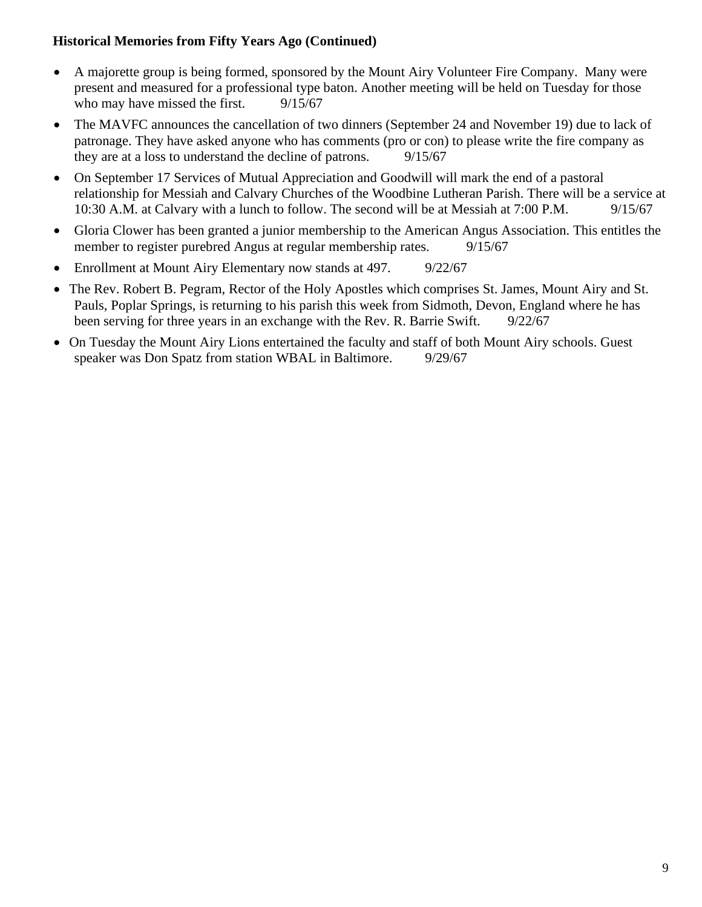- A majorette group is being formed, sponsored by the Mount Airy Volunteer Fire Company. Many were present and measured for a professional type baton. Another meeting will be held on Tuesday for those who may have missed the first.  $9/15/67$
- The MAVFC announces the cancellation of two dinners (September 24 and November 19) due to lack of patronage. They have asked anyone who has comments (pro or con) to please write the fire company as they are at a loss to understand the decline of patrons. 9/15/67
- On September 17 Services of Mutual Appreciation and Goodwill will mark the end of a pastoral relationship for Messiah and Calvary Churches of the Woodbine Lutheran Parish. There will be a service at 10:30 A.M. at Calvary with a lunch to follow. The second will be at Messiah at 7:00 P.M. 9/15/67
- Gloria Clower has been granted a junior membership to the American Angus Association. This entitles the member to register purebred Angus at regular membership rates. 9/15/67
- Enrollment at Mount Airy Elementary now stands at 497. 9/22/67
- The Rev. Robert B. Pegram, Rector of the Holy Apostles which comprises St. James, Mount Airy and St. Pauls, Poplar Springs, is returning to his parish this week from Sidmoth, Devon, England where he has been serving for three years in an exchange with the Rev. R. Barrie Swift. 9/22/67
- On Tuesday the Mount Airy Lions entertained the faculty and staff of both Mount Airy schools. Guest speaker was Don Spatz from station WBAL in Baltimore. 9/29/67